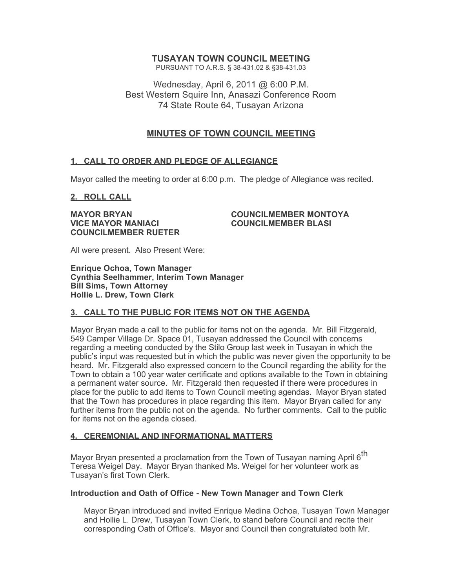# **TUSAYAN TOWN COUNCIL MEETING**

PURSUANT TO A.R.S. § 38-431.02 & §38-431.03

Wednesday, April 6, 2011 @ 6:00 P.M. Best Western Squire Inn, Anasazi Conference Room 74 State Route 64, Tusayan Arizona

# **MINUTES OF TOWN COUNCIL MEETING**

## **1. CALL TO ORDER AND PLEDGE OF ALLEGIANCE**

Mayor called the meeting to order at 6:00 p.m. The pledge of Allegiance was recited.

## **2. ROLL CALL**

**VICE MAYOR MANIACI COUNCILMEMBER BLASI COUNCILMEMBER RUETER**

**MAYOR BRYAN COUNCILMEMBER MONTOYA**

All were present. Also Present Were:

**Enrique Ochoa, Town Manager Cynthia Seelhammer, Interim Town Manager Bill Sims, Town Attorney Hollie L. Drew, Town Clerk**

## **3. CALL TO THE PUBLIC FOR ITEMS NOT ON THE AGENDA**

Mayor Bryan made a call to the public for items not on the agenda. Mr. Bill Fitzgerald, 549 Camper Village Dr. Space 01, Tusayan addressed the Council with concerns regarding a meeting conducted by the Stilo Group last week in Tusayan in which the public's input was requested but in which the public was never given the opportunity to be heard. Mr. Fitzgerald also expressed concern to the Council regarding the ability for the Town to obtain a 100 year water certificate and options available to the Town in obtaining a permanent water source. Mr. Fitzgerald then requested if there were procedures in place for the public to add items to Town Council meeting agendas. Mayor Bryan stated that the Town has procedures in place regarding this item. Mayor Bryan called for any further items from the public not on the agenda. No further comments. Call to the public for items not on the agenda closed.

## **4. CEREMONIAL AND INFORMATIONAL MATTERS**

Mayor Bryan presented a proclamation from the Town of Tusayan naming April 6<sup>th</sup> Teresa Weigel Day. Mayor Bryan thanked Ms. Weigel for her volunteer work as Tusayan's first Town Clerk.

## **Introduction and Oath of Office - New Town Manager and Town Clerk**

Mayor Bryan introduced and invited Enrique Medina Ochoa, Tusayan Town Manager and Hollie L. Drew, Tusayan Town Clerk, to stand before Council and recite their corresponding Oath of Office's. Mayor and Council then congratulated both Mr.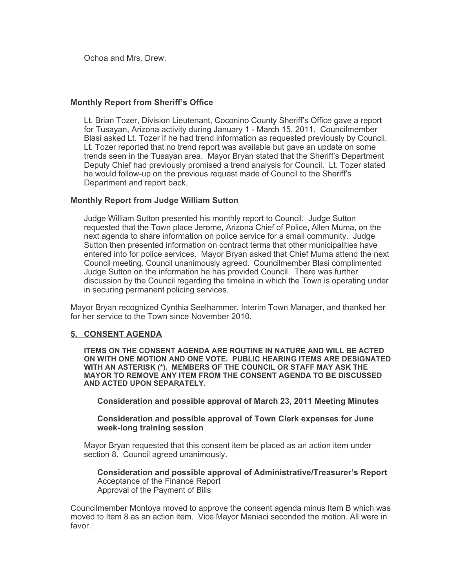Ochoa and Mrs. Drew.

## **Monthly Report from Sheriff's Office**

Lt. Brian Tozer, Division Lieutenant, Coconino County Sheriff's Office gave a report for Tusayan, Arizona activity during January 1 - March 15, 2011. Councilmember Blasi asked Lt. Tozer if he had trend information as requested previously by Council. Lt. Tozer reported that no trend report was available but gave an update on some trends seen in the Tusayan area. Mayor Bryan stated that the Sheriff's Department Deputy Chief had previously promised a trend analysis for Council. Lt. Tozer stated he would follow-up on the previous request made of Council to the Sheriff's Department and report back.

## **Monthly Report from Judge William Sutton**

Judge William Sutton presented his monthly report to Council. Judge Sutton requested that the Town place Jerome, Arizona Chief of Police, Allen Muma, on the next agenda to share information on police service for a small community. Judge Sutton then presented information on contract terms that other municipalities have entered into for police services. Mayor Bryan asked that Chief Muma attend the next Council meeting. Council unanimously agreed. Councilmember Blasi complimented Judge Sutton on the information he has provided Council. There was further discussion by the Council regarding the timeline in which the Town is operating under in securing permanent policing services.

Mayor Bryan recognized Cynthia Seelhammer, Interim Town Manager, and thanked her for her service to the Town since November 2010.

## **5. CONSENT AGENDA**

**ITEMS ON THE CONSENT AGENDA ARE ROUTINE IN NATURE AND WILL BE ACTED ON WITH ONE MOTION AND ONE VOTE. PUBLIC HEARING ITEMS ARE DESIGNATED WITH AN ASTERISK (\*). MEMBERS OF THE COUNCIL OR STAFF MAY ASK THE MAYOR TO REMOVE ANY ITEM FROM THE CONSENT AGENDA TO BE DISCUSSED AND ACTED UPON SEPARATELY.**

**Consideration and possible approval of March 23, 2011 Meeting Minutes**

## **Consideration and possible approval of Town Clerk expenses for June week-long training session**

Mayor Bryan requested that this consent item be placed as an action item under section 8. Council agreed unanimously.

#### **Consideration and possible approval of Administrative/Treasurer's Report** Acceptance of the Finance Report Approval of the Payment of Bills

Councilmember Montoya moved to approve the consent agenda minus Item B which was moved to Item 8 as an action item. Vice Mayor Maniaci seconded the motion. All were in favor.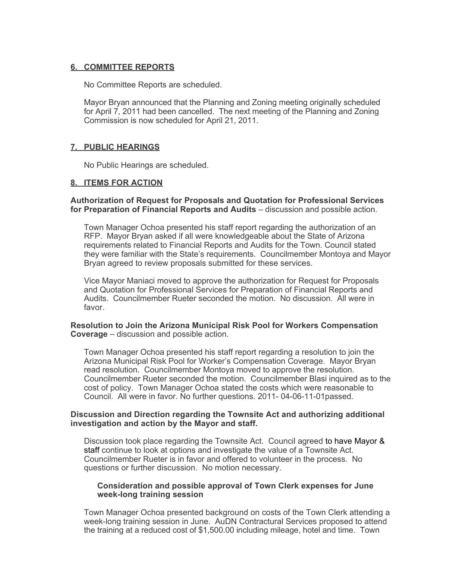## **6. COMMITTEE REPORTS**

No Committee Reports are scheduled.

Mayor Bryan announced that the Planning and Zoning meeting originally scheduled for April 7, 2011 had been cancelled. The next meeting of the Planning and Zoning Commission is now scheduled for April 21, 2011.

## **7. PUBLIC HEARINGS**

No Public Hearings are scheduled.

## **8. ITEMS FOR ACTION**

**Authorization of Request for Proposals and Quotation for Professional Services for Preparation of Financial Reports and Audits** – discussion and possible action.

Town Manager Ochoa presented his staff report regarding the authorization of an RFP. Mayor Bryan asked if all were knowledgeable about the State of Arizona requirements related to Financial Reports and Audits for the Town. Council stated they were familiar with the State's requirements. Councilmember Montoya and Mayor Bryan agreed to review proposals submitted for these services.

Vice Mayor Maniaci moved to approve the authorization for Request for Proposals and Quotation for Professional Services for Preparation of Financial Reports and Audits. Councilmember Rueter seconded the motion. No discussion. All were in favor.

#### **Resolution to Join the Arizona Municipal Risk Pool for Workers Compensation Coverage** – discussion and possible action.

Town Manager Ochoa presented his staff report regarding a resolution to join the Arizona Municipal Risk Pool for Worker's Compensation Coverage. Mayor Bryan read resolution. Councilmember Montoya moved to approve the resolution. Councilmember Rueter seconded the motion. Councilmember Blasi inquired as to the cost of policy. Town Manager Ochoa stated the costs which were reasonable to Council. All were in favor. No further questions. 2011- 04-06-11-01passed.

#### **Discussion and Direction regarding the Townsite Act and authorizing additional investigation and action by the Mayor and staff.**

Discussion took place regarding the Townsite Act. Council agreed to have Mayor & staff continue to look at options and investigate the value of a Townsite Act. Councilmember Rueter is in favor and offered to volunteer in the process. No questions or further discussion. No motion necessary.

## **Consideration and possible approval of Town Clerk expenses for June week-long training session**

Town Manager Ochoa presented background on costs of the Town Clerk attending a week-long training session in June. AuDN Contractural Services proposed to attend the training at a reduced cost of \$1,500.00 including mileage, hotel and time. Town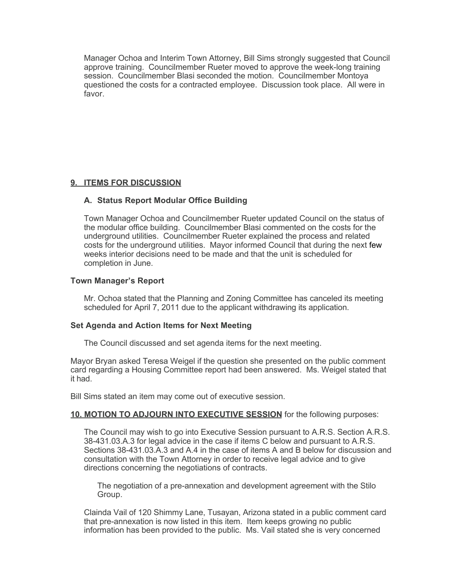Manager Ochoa and Interim Town Attorney, Bill Sims strongly suggested that Council approve training. Councilmember Rueter moved to approve the week-long training session. Councilmember Blasi seconded the motion. Councilmember Montoya questioned the costs for a contracted employee. Discussion took place. All were in favor.

## **9. ITEMS FOR DISCUSSION**

## **A. Status Report Modular Office Building**

Town Manager Ochoa and Councilmember Rueter updated Council on the status of the modular office building. Councilmember Blasi commented on the costs for the underground utilities. Councilmember Rueter explained the process and related costs for the underground utilities. Mayor informed Council that during the next few weeks interior decisions need to be made and that the unit is scheduled for completion in June.

## **Town Manager's Report**

Mr. Ochoa stated that the Planning and Zoning Committee has canceled its meeting scheduled for April 7, 2011 due to the applicant withdrawing its application.

## **Set Agenda and Action Items for Next Meeting**

The Council discussed and set agenda items for the next meeting.

Mayor Bryan asked Teresa Weigel if the question she presented on the public comment card regarding a Housing Committee report had been answered. Ms. Weigel stated that it had.

Bill Sims stated an item may come out of executive session.

## **10. MOTION TO ADJOURN INTO EXECUTIVE SESSION** for the following purposes:

The Council may wish to go into Executive Session pursuant to A.R.S. Section A.R.S. 38-431.03.A.3 for legal advice in the case if items C below and pursuant to A.R.S. Sections 38-431.03.A.3 and A.4 in the case of items A and B below for discussion and consultation with the Town Attorney in order to receive legal advice and to give directions concerning the negotiations of contracts.

The negotiation of a pre-annexation and development agreement with the Stilo Group.

Clainda Vail of 120 Shimmy Lane, Tusayan, Arizona stated in a public comment card that pre-annexation is now listed in this item. Item keeps growing no public information has been provided to the public. Ms. Vail stated she is very concerned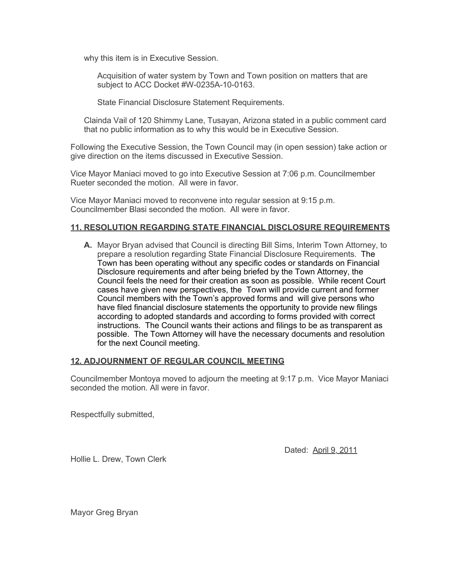why this item is in Executive Session.

Acquisition of water system by Town and Town position on matters that are subject to ACC Docket #W-0235A-10-0163.

State Financial Disclosure Statement Requirements.

Clainda Vail of 120 Shimmy Lane, Tusayan, Arizona stated in a public comment card that no public information as to why this would be in Executive Session.

Following the Executive Session, the Town Council may (in open session) take action or give direction on the items discussed in Executive Session.

Vice Mayor Maniaci moved to go into Executive Session at 7:06 p.m. Councilmember Rueter seconded the motion. All were in favor.

Vice Mayor Maniaci moved to reconvene into regular session at 9:15 p.m. Councilmember Blasi seconded the motion. All were in favor.

## **11. RESOLUTION REGARDING STATE FINANCIAL DISCLOSURE REQUIREMENTS**

**A.** Mayor Bryan advised that Council is directing Bill Sims, Interim Town Attorney, to prepare a resolution regarding State Financial Disclosure Requirements. The Town has been operating without any specific codes or standards on Financial Disclosure requirements and after being briefed by the Town Attorney, the Council feels the need for their creation as soon as possible. While recent Court cases have given new perspectives, the Town will provide current and former Council members with the Town's approved forms and will give persons who have filed financial disclosure statements the opportunity to provide new filings according to adopted standards and according to forms provided with correct instructions. The Council wants their actions and filings to be as transparent as possible. The Town Attorney will have the necessary documents and resolution for the next Council meeting.

## **12. ADJOURNMENT OF REGULAR COUNCIL MEETING**

Councilmember Montoya moved to adjourn the meeting at 9:17 p.m. Vice Mayor Maniaci seconded the motion. All were in favor.

Respectfully submitted,

Dated: April 9, 2011

Hollie L. Drew, Town Clerk

Mayor Greg Bryan